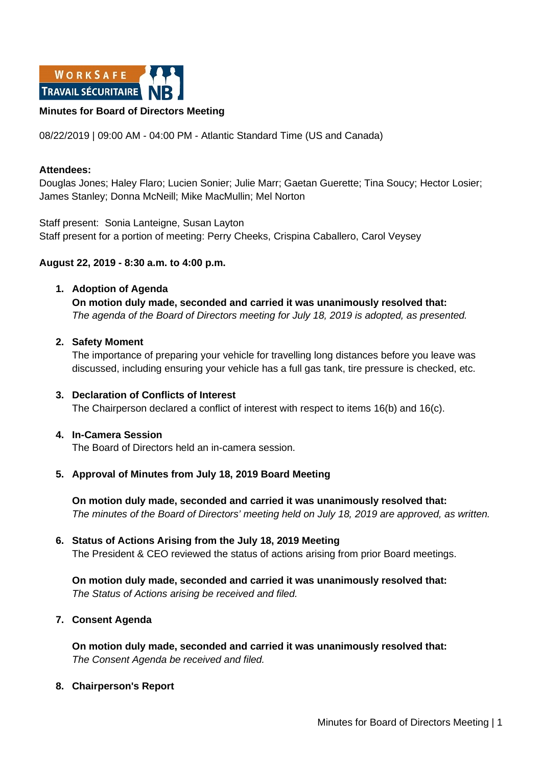

### **Minutes for Board of Directors Meeting**

08/22/2019 | 09:00 AM - 04:00 PM - Atlantic Standard Time (US and Canada)

### **Attendees:**

Douglas Jones; Haley Flaro; Lucien Sonier; Julie Marr; Gaetan Guerette; Tina Soucy; Hector Losier; James Stanley; Donna McNeill; Mike MacMullin; Mel Norton

Staff present: Sonia Lanteigne, Susan Layton Staff present for a portion of meeting: Perry Cheeks, Crispina Caballero, Carol Veysey

### **August 22, 2019 - 8:30 a.m. to 4:00 p.m.**

### **1. Adoption of Agenda**

**On motion duly made, seconded and carried it was unanimously resolved that:** *The agenda of the Board of Directors meeting for July 18, 2019 is adopted, as presented.*

### **2. Safety Moment**

The importance of preparing your vehicle for travelling long distances before you leave was discussed, including ensuring your vehicle has a full gas tank, tire pressure is checked, etc.

**3. Declaration of Conflicts of Interest** The Chairperson declared a conflict of interest with respect to items 16(b) and 16(c).

## **4. In-Camera Session**

The Board of Directors held an in-camera session.

## **5. Approval of Minutes from July 18, 2019 Board Meeting**

**On motion duly made, seconded and carried it was unanimously resolved that:** *The minutes of the Board of Directors' meeting held on July 18, 2019 are approved, as written.*

# **6. Status of Actions Arising from the July 18, 2019 Meeting** The President & CEO reviewed the status of actions arising from prior Board meetings.

**On motion duly made, seconded and carried it was unanimously resolved that:** *The Status of Actions arising be received and filed.*

## **7. Consent Agenda**

**On motion duly made, seconded and carried it was unanimously resolved that:** *The Consent Agenda be received and filed.*

#### **8. Chairperson's Report**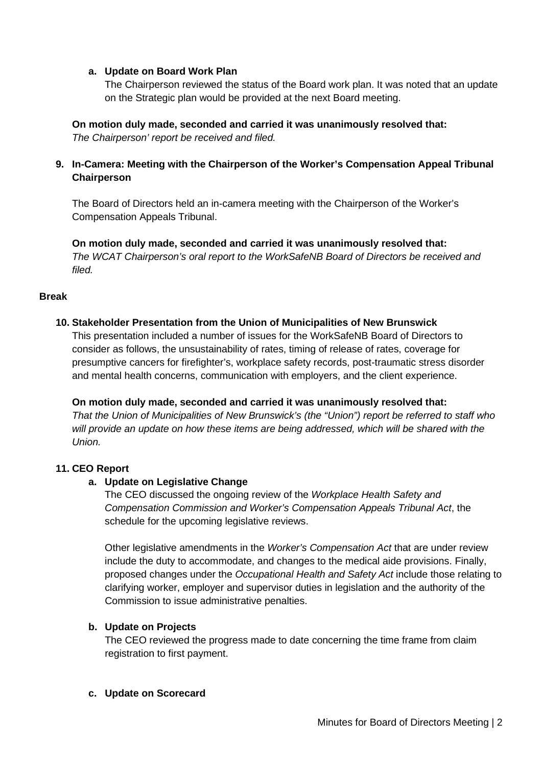## **a. Update on Board Work Plan**

The Chairperson reviewed the status of the Board work plan. It was noted that an update on the Strategic plan would be provided at the next Board meeting.

## **On motion duly made, seconded and carried it was unanimously resolved that:** *The Chairperson' report be received and filed.*

# **9. In-Camera: Meeting with the Chairperson of the Worker's Compensation Appeal Tribunal Chairperson**

The Board of Directors held an in-camera meeting with the Chairperson of the Worker's Compensation Appeals Tribunal.

**On motion duly made, seconded and carried it was unanimously resolved that:** *The WCAT Chairperson's oral report to the WorkSafeNB Board of Directors be received and filed.*

# **Break**

## **10. Stakeholder Presentation from the Union of Municipalities of New Brunswick**

This presentation included a number of issues for the WorkSafeNB Board of Directors to consider as follows, the unsustainability of rates, timing of release of rates, coverage for presumptive cancers for firefighter's, workplace safety records, post-traumatic stress disorder and mental health concerns, communication with employers, and the client experience.

## **On motion duly made, seconded and carried it was unanimously resolved that:**

*That the Union of Municipalities of New Brunswick's (the "Union") report be referred to staff who will provide an update on how these items are being addressed, which will be shared with the Union.*

# **11. CEO Report**

# **a. Update on Legislative Change**

The CEO discussed the ongoing review of the *Workplace Health Safety and Compensation Commission and Worker's Compensation Appeals Tribunal Act*, the schedule for the upcoming legislative reviews.

Other legislative amendments in the *Worker's Compensation Act* that are under review include the duty to accommodate, and changes to the medical aide provisions. Finally, proposed changes under the *Occupational Health and Safety Act* include those relating to clarifying worker, employer and supervisor duties in legislation and the authority of the Commission to issue administrative penalties.

## **b. Update on Projects**

The CEO reviewed the progress made to date concerning the time frame from claim registration to first payment.

## **c. Update on Scorecard**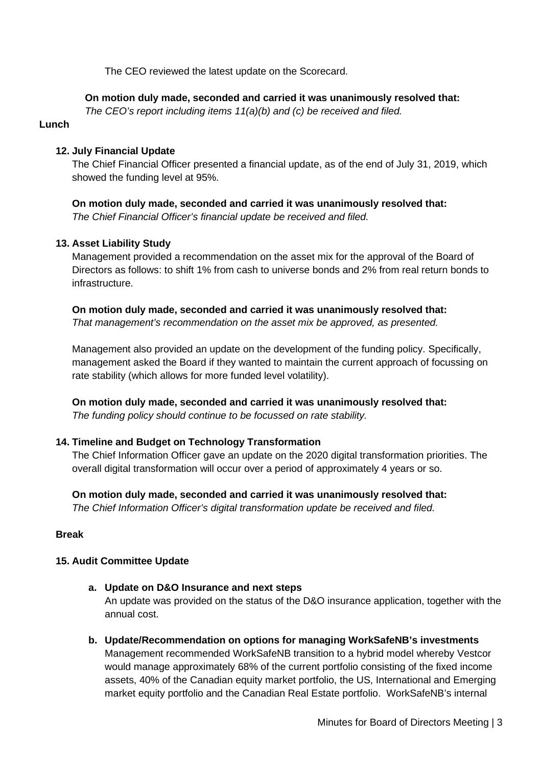The CEO reviewed the latest update on the Scorecard.

## **On motion duly made, seconded and carried it was unanimously resolved that:**

*The CEO's report including items 11(a)(b) and (c) be received and filed.*

## **Lunch**

## **12. July Financial Update**

The Chief Financial Officer presented a financial update, as of the end of July 31, 2019, which showed the funding level at 95%.

**On motion duly made, seconded and carried it was unanimously resolved that:** *The Chief Financial Officer's financial update be received and filed.*

## **13. Asset Liability Study**

Management provided a recommendation on the asset mix for the approval of the Board of Directors as follows: to shift 1% from cash to universe bonds and 2% from real return bonds to infrastructure.

**On motion duly made, seconded and carried it was unanimously resolved that:** *That management's recommendation on the asset mix be approved, as presented.* 

Management also provided an update on the development of the funding policy. Specifically, management asked the Board if they wanted to maintain the current approach of focussing on rate stability (which allows for more funded level volatility).

**On motion duly made, seconded and carried it was unanimously resolved that:** *The funding policy should continue to be focussed on rate stability.* 

## **14. Timeline and Budget on Technology Transformation**

The Chief Information Officer gave an update on the 2020 digital transformation priorities. The overall digital transformation will occur over a period of approximately 4 years or so.

**On motion duly made, seconded and carried it was unanimously resolved that:** *The Chief Information Officer's digital transformation update be received and filed.*

## **Break**

## **15. Audit Committee Update**

**a. Update on D&O Insurance and next steps**

An update was provided on the status of the D&O insurance application, together with the annual cost.

**b. Update/Recommendation on options for managing WorkSafeNB's investments** Management recommended WorkSafeNB transition to a hybrid model whereby Vestcor would manage approximately 68% of the current portfolio consisting of the fixed income assets, 40% of the Canadian equity market portfolio, the US, International and Emerging market equity portfolio and the Canadian Real Estate portfolio. WorkSafeNB's internal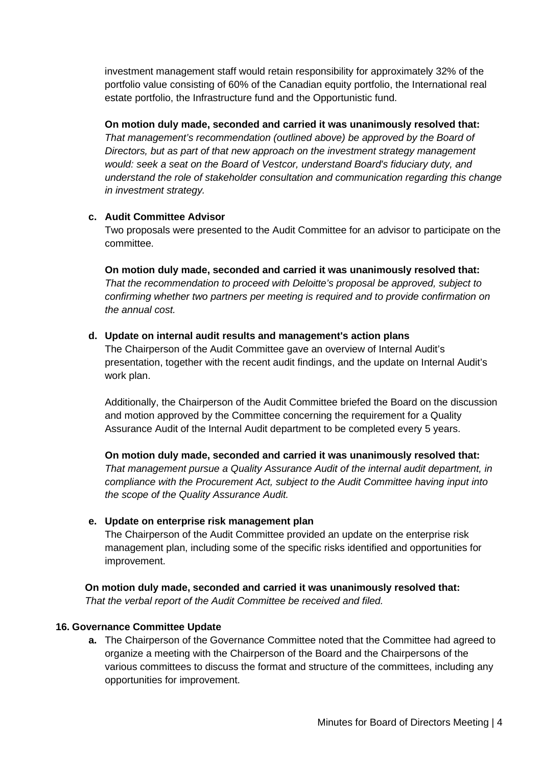investment management staff would retain responsibility for approximately 32% of the portfolio value consisting of 60% of the Canadian equity portfolio, the International real estate portfolio, the Infrastructure fund and the Opportunistic fund.

**On motion duly made, seconded and carried it was unanimously resolved that:**

*That management's recommendation (outlined above) be approved by the Board of Directors, but as part of that new approach on the investment strategy management would: seek a seat on the Board of Vestcor, understand Board's fiduciary duty, and understand the role of stakeholder consultation and communication regarding this change in investment strategy.*

## **c. Audit Committee Advisor**

Two proposals were presented to the Audit Committee for an advisor to participate on the committee.

**On motion duly made, seconded and carried it was unanimously resolved that:** *That the recommendation to proceed with Deloitte's proposal be approved, subject to confirming whether two partners per meeting is required and to provide confirmation on the annual cost.* 

## **d. Update on internal audit results and management's action plans**

The Chairperson of the Audit Committee gave an overview of Internal Audit's presentation, together with the recent audit findings, and the update on Internal Audit's work plan.

Additionally, the Chairperson of the Audit Committee briefed the Board on the discussion and motion approved by the Committee concerning the requirement for a Quality Assurance Audit of the Internal Audit department to be completed every 5 years.

**On motion duly made, seconded and carried it was unanimously resolved that:** *That management pursue a Quality Assurance Audit of the internal audit department, in compliance with the Procurement Act, subject to the Audit Committee having input into the scope of the Quality Assurance Audit.* 

# **e. Update on enterprise risk management plan**

The Chairperson of the Audit Committee provided an update on the enterprise risk management plan, including some of the specific risks identified and opportunities for improvement.

**On motion duly made, seconded and carried it was unanimously resolved that:** *That the verbal report of the Audit Committee be received and filed.* 

# **16. Governance Committee Update**

**a.** The Chairperson of the Governance Committee noted that the Committee had agreed to organize a meeting with the Chairperson of the Board and the Chairpersons of the various committees to discuss the format and structure of the committees, including any opportunities for improvement.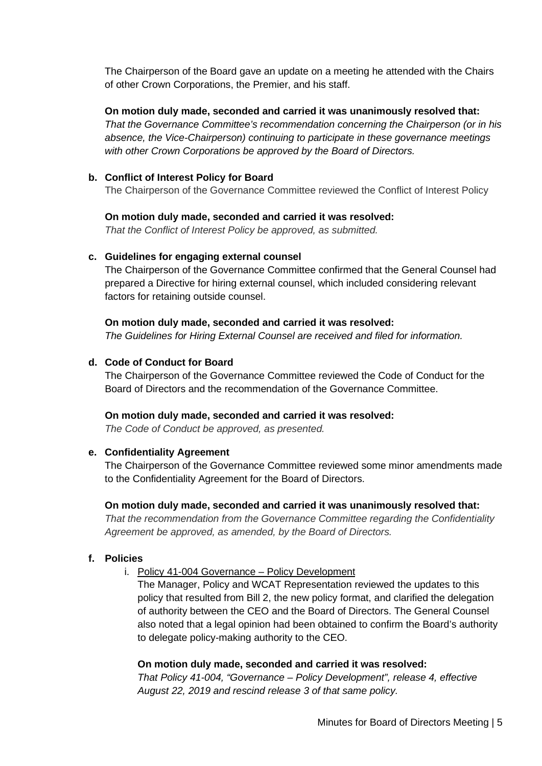The Chairperson of the Board gave an update on a meeting he attended with the Chairs of other Crown Corporations, the Premier, and his staff.

# **On motion duly made, seconded and carried it was unanimously resolved that:**

*That the Governance Committee's recommendation concerning the Chairperson (or in his absence, the Vice-Chairperson) continuing to participate in these governance meetings with other Crown Corporations be approved by the Board of Directors.*

## **b. Conflict of Interest Policy for Board**

The Chairperson of the Governance Committee reviewed the Conflict of Interest Policy

## **On motion duly made, seconded and carried it was resolved:**

*That the Conflict of Interest Policy be approved, as submitted.* 

## **c. Guidelines for engaging external counsel**

The Chairperson of the Governance Committee confirmed that the General Counsel had prepared a Directive for hiring external counsel, which included considering relevant factors for retaining outside counsel.

## **On motion duly made, seconded and carried it was resolved:**

*The Guidelines for Hiring External Counsel are received and filed for information.*

## **d. Code of Conduct for Board**

The Chairperson of the Governance Committee reviewed the Code of Conduct for the Board of Directors and the recommendation of the Governance Committee.

# **On motion duly made, seconded and carried it was resolved:**

*The Code of Conduct be approved, as presented.* 

# **e. Confidentiality Agreement**

The Chairperson of the Governance Committee reviewed some minor amendments made to the Confidentiality Agreement for the Board of Directors.

## **On motion duly made, seconded and carried it was unanimously resolved that:**

*That the recommendation from the Governance Committee regarding the Confidentiality Agreement be approved, as amended, by the Board of Directors.*

# **f. Policies**

## i. Policy 41-004 Governance – Policy Development

The Manager, Policy and WCAT Representation reviewed the updates to this policy that resulted from Bill 2, the new policy format, and clarified the delegation of authority between the CEO and the Board of Directors. The General Counsel also noted that a legal opinion had been obtained to confirm the Board's authority to delegate policy-making authority to the CEO.

## **On motion duly made, seconded and carried it was resolved:**

*That Policy 41-004, "Governance – Policy Development", release 4, effective August 22, 2019 and rescind release 3 of that same policy.*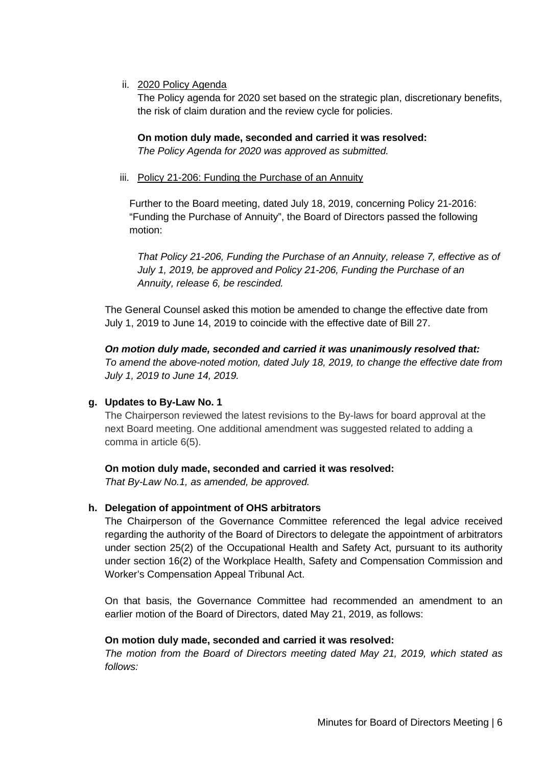ii. 2020 Policy Agenda

The Policy agenda for 2020 set based on the strategic plan, discretionary benefits, the risk of claim duration and the review cycle for policies.

**On motion duly made, seconded and carried it was resolved:** *The Policy Agenda for 2020 was approved as submitted.* 

iii. Policy 21-206: Funding the Purchase of an Annuity

Further to the Board meeting, dated July 18, 2019, concerning Policy 21-2016: "Funding the Purchase of Annuity", the Board of Directors passed the following motion:

*That Policy 21-206, Funding the Purchase of an Annuity, release 7, effective as of July 1, 2019, be approved and Policy 21-206, Funding the Purchase of an Annuity, release 6, be rescinded.* 

The General Counsel asked this motion be amended to change the effective date from July 1, 2019 to June 14, 2019 to coincide with the effective date of Bill 27.

*On motion duly made, seconded and carried it was unanimously resolved that: To amend the above-noted motion, dated July 18, 2019, to change the effective date from July 1, 2019 to June 14, 2019.* 

# **g. Updates to By-Law No. 1**

The Chairperson reviewed the latest revisions to the By-laws for board approval at the next Board meeting. One additional amendment was suggested related to adding a comma in article 6(5).

**On motion duly made, seconded and carried it was resolved:**

*That By-Law No.1, as amended, be approved.*

# **h. Delegation of appointment of OHS arbitrators**

The Chairperson of the Governance Committee referenced the legal advice received regarding the authority of the Board of Directors to delegate the appointment of arbitrators under section 25(2) of the Occupational Health and Safety Act, pursuant to its authority under section 16(2) of the Workplace Health, Safety and Compensation Commission and Worker's Compensation Appeal Tribunal Act.

On that basis, the Governance Committee had recommended an amendment to an earlier motion of the Board of Directors, dated May 21, 2019, as follows:

## **On motion duly made, seconded and carried it was resolved:**

*The motion from the Board of Directors meeting dated May 21, 2019, which stated as follows:*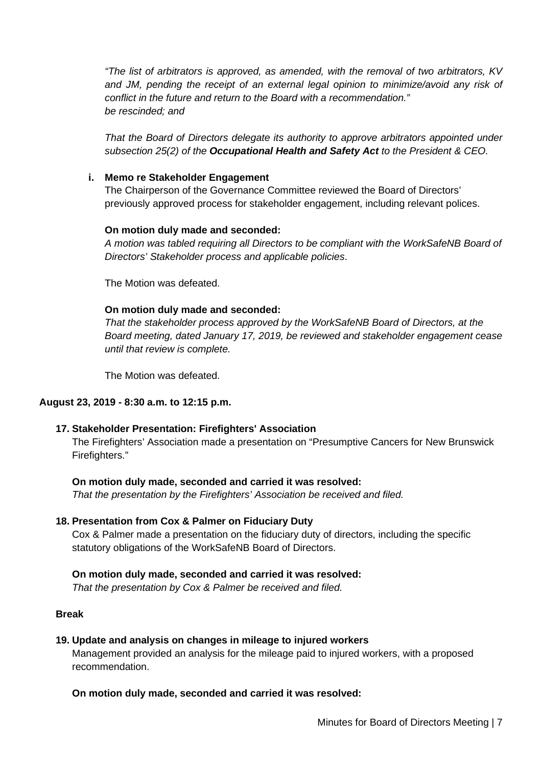*"The list of arbitrators is approved, as amended, with the removal of two arbitrators, KV and JM, pending the receipt of an external legal opinion to minimize/avoid any risk of conflict in the future and return to the Board with a recommendation." be rescinded; and* 

*That the Board of Directors delegate its authority to approve arbitrators appointed under subsection 25(2) of the Occupational Health and Safety Act to the President & CEO.* 

### **i. Memo re Stakeholder Engagement**

The Chairperson of the Governance Committee reviewed the Board of Directors' previously approved process for stakeholder engagement, including relevant polices.

### **On motion duly made and seconded:**

*A motion was tabled requiring all Directors to be compliant with the WorkSafeNB Board of Directors' Stakeholder process and applicable policies*.

The Motion was defeated.

### **On motion duly made and seconded:**

*That the stakeholder process approved by the WorkSafeNB Board of Directors, at the Board meeting, dated January 17, 2019, be reviewed and stakeholder engagement cease until that review is complete.*

The Motion was defeated.

## **August 23, 2019 - 8:30 a.m. to 12:15 p.m.**

#### **17. Stakeholder Presentation: Firefighters' Association**

The Firefighters' Association made a presentation on "Presumptive Cancers for New Brunswick Firefighters."

## **On motion duly made, seconded and carried it was resolved:**

*That the presentation by the Firefighters' Association be received and filed.* 

## **18. Presentation from Cox & Palmer on Fiduciary Duty**

Cox & Palmer made a presentation on the fiduciary duty of directors, including the specific statutory obligations of the WorkSafeNB Board of Directors.

#### **On motion duly made, seconded and carried it was resolved:**

*That the presentation by Cox & Palmer be received and filed.* 

## **Break**

#### **19. Update and analysis on changes in mileage to injured workers** Management provided an analysis for the mileage paid to injured workers, with a proposed recommendation.

## **On motion duly made, seconded and carried it was resolved:**